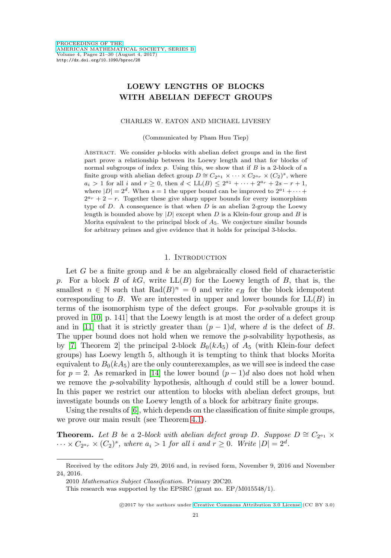# **LOEWY LENGTHS OF BLOCKS WITH ABELIAN DEFECT GROUPS**

### CHARLES W. EATON AND MICHAEL LIVESEY

(Communicated by Pham Huu Tiep)

ABSTRACT. We consider p-blocks with abelian defect groups and in the first part prove a relationship between its Loewy length and that for blocks of normal subgroups of index  $p$ . Using this, we show that if  $B$  is a 2-block of a finite group with abelian defect group  $D \cong C_{2^{a_1}} \times \cdots \times C_{2^{a_r}} \times (C_2)^s$ , where  $a_i > 1$  for all i and  $r \ge 0$ , then  $d < LL(B) \le 2^{a_1} + \cdots + 2^{a_r} + 2s - r + 1$ , where  $|D| = 2^d$ . When  $s = 1$  the upper bound can be improved to  $2^{a_1} + \cdots$  $2^{a_r} + 2 - r$ . Together these give sharp upper bounds for every isomorphism type of  $D$ . A consequence is that when  $D$  is an abelian 2-group the Loewy length is bounded above by  $|D|$  except when D is a Klein-four group and B is Morita equivalent to the principal block of  $A_5$ . We conjecture similar bounds for arbitrary primes and give evidence that it holds for principal 3-blocks.

#### 1. INTRODUCTION

Let G be a finite group and  $k$  be an algebraically closed field of characteristic p. For a block B of  $kG$ , write  $LL(B)$  for the Loewy length of B, that is, the smallest  $n \in \mathbb{N}$  such that  $\text{Rad}(B)^n = 0$  and write  $e_B$  for the block idempotent corresponding to B. We are interested in upper and lower bounds for  $LL(B)$  in terms of the isomorphism type of the defect groups. For p-solvable groups it is proved in [\[10,](#page-8-0) p. 141] that the Loewy length is at most the order of a defect group and in [\[11\]](#page-8-1) that it is strictly greater than  $(p-1)d$ , where d is the defect of B. The upper bound does not hold when we remove the  $p$ -solvability hypothesis, as by [\[7,](#page-8-2) Theorem 2] the principal 2-block  $B_0(kA_5)$  of  $A_5$  (with Klein-four defect groups) has Loewy length 5, although it is tempting to think that blocks Morita equivalent to  $B_0(kA_5)$  are the only counterexamples, as we will see is indeed the case for  $p = 2$ . As remarked in [\[14\]](#page-9-0) the lower bound  $(p - 1)d$  also does not hold when we remove the  $p$ -solvability hypothesis, although  $d$  could still be a lower bound. In this paper we restrict our attention to blocks with abelian defect groups, but investigate bounds on the Loewy length of a block for arbitrary finite groups.

Using the results of [\[6\]](#page-8-3), which depends on the classification of finite simple groups, we prove our main result (see Theorem [4.1\)](#page-5-0).

**Theorem.** Let B be a 2-block with abelian defect group D. Suppose  $D \cong C_{2^{a_1}} \times$  $\cdots \times C_{2^{a_r}} \times (C_2)^s$ , where  $a_i > 1$  for all i and  $r \geq 0$ . Write  $|D| = 2^d$ .

Received by the editors July 29, 2016 and, in revised form, November 9, 2016 and November 24, 2016.

<sup>2010</sup> Mathematics Subject Classification. Primary 20C20.

This research was supported by the EPSRC (grant no. EP/M015548/1).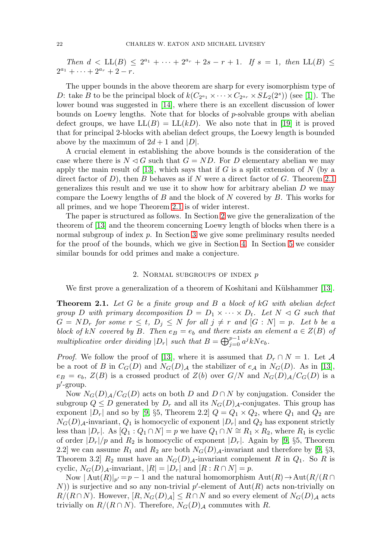Then  $d < LL(B) \leq 2^{a_1} + \cdots + 2^{a_r} + 2s - r + 1$ . If  $s = 1$ , then  $LL(B) \leq$  $2^{a_1} + \cdots + 2^{a_r} + 2 - r.$ 

The upper bounds in the above theorem are sharp for every isomorphism type of D: take B to be the principal block of  $k(C_{2^{a_1}} \times \cdots \times C_{2^{a_r}} \times SL_2(2^s))$  (see [\[1\]](#page-8-4)). The lower bound was suggested in [\[14\]](#page-9-0), where there is an excellent discussion of lower bounds on Loewy lengths. Note that for blocks of p-solvable groups with abelian defect groups, we have  $LL(B) = LL(kD)$ . We also note that in [\[19\]](#page-9-1) it is proved that for principal 2-blocks with abelian defect groups, the Loewy length is bounded above by the maximum of  $2d + 1$  and  $|D|$ .

A crucial element in establishing the above bounds is the consideration of the case where there is  $N \triangleleft G$  such that  $G = ND$ . For D elementary abelian we may apply the main result of [\[13\]](#page-9-2), which says that if G is a split extension of N (by a direct factor of  $D$ ), then  $B$  behaves as if  $N$  were a direct factor of  $G$ . Theorem [2.1](#page-1-0) generalizes this result and we use it to show how for arbitrary abelian  $D$  we may compare the Loewy lengths of  $B$  and the block of  $N$  covered by  $B$ . This works for all primes, and we hope Theorem [2.1](#page-1-0) is of wider interest.

The paper is structured as follows. In Section [2](#page-1-1) we give the generalization of the theorem of [\[13\]](#page-9-2) and the theorem concerning Loewy length of blocks when there is a normal subgroup of index  $p$ . In Section [3](#page-2-0) we give some preliminary results needed for the proof of the bounds, which we give in Section [4.](#page-5-1) In Section [5](#page-6-0) we consider similar bounds for odd primes and make a conjecture.

## 2. NORMAL SUBGROUPS OF INDEX  $p$

<span id="page-1-1"></span>We first prove a generalization of a theorem of Koshitani and Külshammer [\[13\]](#page-9-2).

<span id="page-1-0"></span>**Theorem 2.1.** Let G be a finite group and B a block of kG with abelian defect group D with primary decomposition  $D = D_1 \times \cdots \times D_t$ . Let  $N \triangleleft G$  such that  $G = ND_r$  for some  $r \le t$ ,  $D_j \le N$  for all  $j \ne r$  and  $[G : N] = p$ . Let b be a block of kN covered by B. Then  $e_B = e_b$  and there exists an element  $a \in Z(B)$  of multiplicative order dividing  $|D_r|$  such that  $B = \bigoplus_{j=0}^{p-1} a^j k N e_b$ .

*Proof.* We follow the proof of [\[13\]](#page-9-2), where it is assumed that  $D_r \cap N = 1$ . Let A be a root of B in  $C_G(D)$  and  $N_G(D)$  the stabilizer of  $e_A$  in  $N_G(D)$ . As in [\[13\]](#page-9-2),  $e_B = e_b$ ,  $Z(B)$  is a crossed product of  $Z(b)$  over  $G/N$  and  $N_G(D)$ <sub>A</sub>/C<sub>G</sub>(D) is a  $p'$ -group.

Now  $N_G(D)$ <sub>A</sub>/C<sub>G</sub>(D) acts on both D and  $D \cap N$  by conjugation. Consider the subgroup  $Q \leq D$  generated by  $D_r$  and all its  $N_G(D)$ <sub>A</sub>-conjugates. This group has exponent  $|D_r|$  and so by [\[9,](#page-8-5) §5, Theorem 2.2]  $Q = Q_1 \times Q_2$ , where  $Q_1$  and  $Q_2$  are  $N_G(D)$ <sub>A</sub>-invariant,  $Q_1$  is homocyclic of exponent  $|D_r|$  and  $Q_2$  has exponent strictly less than  $|D_r|$ . As  $[Q_1: Q_1 \cap N] = p$  we have  $Q_1 \cap N \cong R_1 \times R_2$ , where  $R_1$  is cyclic of order  $|D_r|/p$  and  $R_2$  is homocyclic of exponent  $|D_r|$ . Again by [\[9,](#page-8-5) §5, Theorem 2.2] we can assume  $R_1$  and  $R_2$  are both  $N_G(D)$ <sub>A</sub>-invariant and therefore by [\[9,](#page-8-5) §3, Theorem 3.2  $R_2$  must have an  $N_G(D)$ <sub>A</sub>-invariant complement R in  $Q_1$ . So R is cyclic,  $N_G(D)$ <sub>A</sub>-invariant,  $|R| = |D_r|$  and  $[R: R \cap N] = p$ .

Now  $|\operatorname{Aut}(R)|_{p'} = p - 1$  and the natural homomorphism  $\operatorname{Aut}(R) \to \operatorname{Aut}(R/(R \cap$ N) is surjective and so any non-trivial p'-element of  $\text{Aut}(R)$  acts non-trivially on  $R/(R\cap N)$ . However,  $[R, N_G(D)_{\mathcal{A}}] \leq R\cap N$  and so every element of  $N_G(D)_{\mathcal{A}}$  acts trivially on  $R/(R \cap N)$ . Therefore,  $N_G(D)$  commutes with R.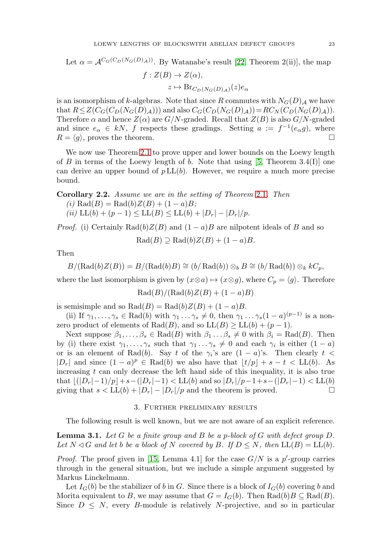Let 
$$
\alpha = \mathcal{A}^{C_G(C_D(N_G(D),\Delta))}
$$
. By Watanabe's result [22, Theorem 2(ii)], the map  
\n $f: Z(B) \to Z(\alpha),$   
\n $z \mapsto \text{Br}_{C_D(N_G(D),\Delta)}(z)e_\alpha$ 

is an isomorphism of k-algebras. Note that since R commutes with  $N_G(D)$  we have that  $R \leq Z(C_G(C_D(N_G(D)_\mathcal{A})))$  and also  $C_G(C_D(N_G(D)_\mathcal{A}))=RC_N(C_D(N_G(D)_\mathcal{A})).$ Therefore  $\alpha$  and hence  $Z(\alpha)$  are  $G/N$ -graded. Recall that  $Z(B)$  is also  $G/N$ -graded and since  $e_{\alpha} \in kN$ , f respects these gradings. Setting  $a := f^{-1}(e_{\alpha}g)$ , where  $R = \langle g \rangle$ , proves the theorem.

We now use Theorem [2.1](#page-1-0) to prove upper and lower bounds on the Loewy length of B in terms of the Loewy length of b. Note that using  $[5,$  Theorem  $3.4(I)$ ] one can derive an upper bound of  $p L<sub>L</sub>(b)$ . However, we require a much more precise bound.

<span id="page-2-2"></span>**Corollary 2.2.** Assume we are in the setting of Theorem [2.1](#page-1-0). Then (i)  $\text{Rad}(B) = \text{Rad}(b)Z(B) + (1 - a)B;$ (ii)  $LL(b) + (p - 1) \le LL(B) \le LL(b) + |D_r| - |D_r|/p.$ 

*Proof.* (i) Certainly Rad(b)Z(B) and  $(1 - a)B$  are nilpotent ideals of B and so

$$
Rad(B) \supseteq Rad(b)Z(B) + (1-a)B.
$$

Then

$$
B/(\mathrm{Rad}(b)Z(B)) = B/(\mathrm{Rad}(b)B) \cong (b/\mathrm{Rad}(b)) \otimes_b B \cong (b/\mathrm{Rad}(b)) \otimes_k kC_p,
$$

where the last isomorphism is given by  $(x \otimes a) \mapsto (x \otimes g)$ , where  $C_p = \langle g \rangle$ . Therefore

$$
Rad(B)/(Rad(b)Z(B) + (1-a)B)
$$

is semisimple and so  $Rad(B) = Rad(b)Z(B) + (1 - a)B$ .

(ii) If  $\gamma_1,\ldots,\gamma_s \in \text{Rad}(b)$  with  $\gamma_1 \ldots \gamma_s \neq 0$ , then  $\gamma_1 \ldots \gamma_s (1-a)^{(p-1)}$  is a nonzero product of elements of Rad(B), and so  $LL(B) \ge LL(b) + (p-1)$ .

Next suppose  $\beta_1, \ldots, \beta_s \in \text{Rad}(B)$  with  $\beta_1 \ldots \beta_s \neq 0$  with  $\beta_i = \text{Rad}(B)$ . Then by (i) there exist  $\gamma_1,\ldots,\gamma_s$  such that  $\gamma_1\ldots\gamma_s\neq 0$  and each  $\gamma_i$  is either  $(1-a)$ or is an element of Rad(b). Say t of the  $\gamma_i$ 's are  $(1 - a)$ 's. Then clearly t <  $|D_r|$  and since  $(1 - a)^p \in \text{Rad}(b)$  we also have that  $|t/p| + s - t < \text{LL}(b)$ . As increasing  $t$  can only decrease the left hand side of this inequality, it is also true that  $|(D_r|-1)/p|+s-(|D_r|-1)$  < LL(b) and so  $|D_r|/p-1+s-(|D_r|-1)$  < LL(b) giving that  $s < LL(b) + |D_r| - |D_r|/p$  and the theorem is proved.

# 3. Further preliminary results

<span id="page-2-0"></span>The following result is well known, but we are not aware of an explicit reference.

<span id="page-2-1"></span>**Lemma 3.1.** Let G be a finite group and B be a p-block of G with defect group D. Let  $N \triangleleft G$  and let b be a block of N covered by B. If  $D \leq N$ , then  $LL(B) = LL(b)$ .

*Proof.* The proof given in [\[15,](#page-9-4) Lemma 4.1] for the case  $G/N$  is a p'-group carries through in the general situation, but we include a simple argument suggested by Markus Linckelmann.

Let  $I_G(b)$  be the stabilizer of b in G. Since there is a block of  $I_G(b)$  covering b and Morita equivalent to B, we may assume that  $G = I_G(b)$ . Then  $\text{Rad}(b)B \subseteq \text{Rad}(B)$ . Since  $D \leq N$ , every B-module is relatively N-projective, and so in particular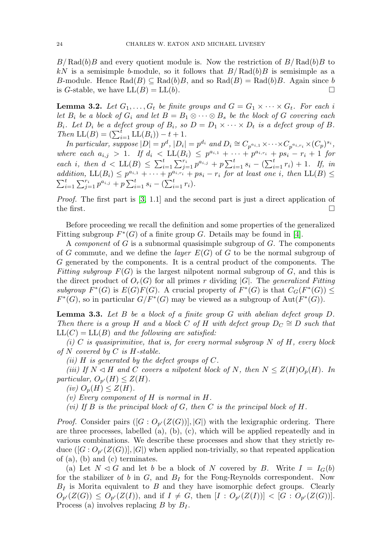$B/Rad(b)B$  and every quotient module is. Now the restriction of  $B/Rad(b)B$  to kN is a semisimple b-module, so it follows that  $B/Rad(b)B$  is semisimple as a B-module. Hence  $\text{Rad}(B) \subseteq \text{Rad}(b)B$ , and so  $\text{Rad}(B) = \text{Rad}(b)B$ . Again since b is G-stable, we have  $LL(B) = LL(b)$ .

<span id="page-3-1"></span>**Lemma 3.2.** Let  $G_1, \ldots, G_t$  be finite groups and  $G = G_1 \times \cdots \times G_t$ . For each i let  $B_i$  be a block of  $G_i$  and let  $B = B_1 \otimes \cdots \otimes B_s$  be the block of G covering each  $B_i$ . Let  $D_i$  be a defect group of  $B_i$ , so  $D = D_1 \times \cdots \times D_t$  is a defect group of B. Then  $LL(B) = (\sum_{i=1}^{t} LL(B_i)) - t + 1.$ 

In particular, suppose  $|D| = p^d$ ,  $|D_i| = p^{d_i}$  and  $D_i \cong C_{p^{a_{i,1}}} \times \cdots \times C_{p^{a_i,r_i}} \times (C_p)^{s_i}$ , where each  $a_{i,j} > 1$ . If  $d_i < LL(B_i) \leq p^{a_{i,1}} + \cdots + p^{a_{i,r_i}} + ps_i - r_i + 1$  for each i, then  $d < LL(B) \le \sum_{i=1}^t \sum_{j=1}^{r_i} p^{a_{i,j}} + p \sum_{i=1}^t s_i - (\sum_{i=1}^t r_i) + 1$ . If, in addition,  $LL(B_i) \leq p^{a_{i,1}} + \cdots + p^{a_{i,r_i}} + ps_i - r_i$  for at least one i, then  $LL(B) \leq$  $\sum_{i=1}^t \sum_{j=1}^{r_i} p^{a_{i,j}} + p \sum_{i=1}^t s_i - (\sum_{i=1}^t r_i).$ 

Proof. The first part is [\[3,](#page-8-7) 1.1] and the second part is just a direct application of the first.  $\Box$ 

Before proceeding we recall the definition and some properties of the generalized Fitting subgroup  $F^*(G)$  of a finite group G. Details may be found in [\[4\]](#page-8-8).

A *component* of  $G$  is a subnormal quasisimple subgroup of  $G$ . The components of G commute, and we define the *layer*  $E(G)$  of G to be the normal subgroup of G generated by the components. It is a central product of the components. The Fitting subgroup  $F(G)$  is the largest nilpotent normal subgroup of G, and this is the direct product of  $O_r(G)$  for all primes r dividing |G|. The generalized Fitting subgroup  $F^*(G)$  is  $E(G)F(G)$ . A crucial property of  $F^*(G)$  is that  $C_G(F^*(G)) \le$  $F^*(G)$ , so in particular  $G/F^*(G)$  may be viewed as a subgroup of  $Aut(F^*(G))$ .

<span id="page-3-0"></span>**Lemma 3.3.** Let B be a block of a finite group G with abelian defect group D. Then there is a group H and a block C of H with defect group  $D_C \cong D$  such that  $LL(C) = LL(B)$  and the following are satisfied:

(i) C is quasiprimitive, that is, for every normal subgroup  $N$  of  $H$ , every block of N covered by  $C$  is H-stable.

(*ii*)  $H$  is generated by the defect groups of  $C$ .

(iii) If  $N \triangleleft H$  and C covers a nilpotent block of N, then  $N \leq Z(H)O_p(H)$ . In particular,  $O_{p'}(H) \leq Z(H)$ .

 $(iv)$   $O_p(H) \leq Z(H)$ .

(v) Every component of H is normal in H.

(vi) If B is the principal block of G, then C is the principal block of H.

*Proof.* Consider pairs  $([G:O_{p'}(Z(G))], |G|)$  with the lexigraphic ordering. There are three processes, labelled  $(a)$ ,  $(b)$ ,  $(c)$ , which will be applied repeatedly and in various combinations. We describe these processes and show that they strictly reduce  $([G:O_{p'}(Z(G))], |G|)$  when applied non-trivially, so that repeated application of (a), (b) and (c) terminates.

(a) Let  $N \triangleleft G$  and let b be a block of N covered by B. Write  $I = I_G(b)$ for the stabilizer of b in  $G$ , and  $B_I$  for the Fong-Reynolds correspondent. Now  $B_I$  is Morita equivalent to B and they have isomorphic defect groups. Clearly  $O_{p'}(Z(G)) \leq O_{p'}(Z(I))$ , and if  $I \neq G$ , then  $[I: O_{p'}(Z(I))] < [G: O_{p'}(Z(G))]$ . Process (a) involves replacing B by  $B_I$ .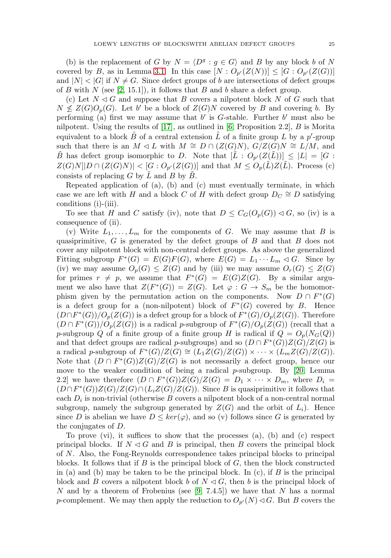(b) is the replacement of G by  $N = \langle D^g : g \in G \rangle$  and B by any block b of N covered by B, as in Lemma [3.1.](#page-2-1) In this case  $[N:O_{p'}(Z(N))] \leq [G:O_{p'}(Z(G))]$ and  $|N| < |G|$  if  $N \neq G$ . Since defect groups of b are intersections of defect groups of B with N (see [\[2,](#page-8-9) 15.1]), it follows that B and b share a defect group.

(c) Let  $N \triangleleft G$  and suppose that B covers a nilpotent block N of G such that  $N \nleq Z(G)O_p(G)$ . Let b' be a block of  $Z(G)N$  covered by B and covering b. By performing (a) first we may assume that  $b'$  is G-stable. Further  $b'$  must also be nilpotent. Using the results of  $[17]$ , as outlined in  $[6,$  Proposition 2.2,  $B$  is Morita equivalent to a block  $\tilde{B}$  of a central extension  $\tilde{L}$  of a finite group L by a p'-group such that there is an  $M \lhd L$  with  $M \cong D \cap (Z(G)N), G/Z(G)N \cong L/M$ , and  $\tilde{B}$  has defect group isomorphic to D. Note that  $[\tilde{L} : O_{p'}(Z(\tilde{L}))] \leq |L| = [G :$  $Z(G)N||D \cap (Z(G)N)| < [G:O_{p'}(Z(G))]$  and that  $M \leq O_p(\tilde{L})Z(\tilde{L})$ . Process (c) consists of replacing  $G$  by  $L$  and  $B$  by  $B$ .

Repeated application of  $(a)$ ,  $(b)$  and  $(c)$  must eventually terminate, in which case we are left with H and a block C of H with defect group  $D<sub>C</sub> \cong D$  satisfying conditions (i)-(iii).

To see that H and C satisfy (iv), note that  $D \leq C_G(O_p(G)) \lhd G$ , so (iv) is a consequence of (ii).

(v) Write  $L_1,\ldots,L_m$  for the components of G. We may assume that B is quasiprimitive,  $G$  is generated by the defect groups of  $B$  and that  $B$  does not cover any nilpotent block with non-central defect groups. As above the generalized Fitting subgroup  $F^*(G) = E(G)F(G)$ , where  $E(G) = L_1 \cdots L_m \lhd G$ . Since by (iv) we may assume  $O_n(G) \leq Z(G)$  and by (iii) we may assume  $O_n(G) \leq Z(G)$ for primes  $r \neq p$ , we assume that  $F^*(G) = E(G)Z(G)$ . By a similar argument we also have that  $Z(F^*(G)) = Z(G)$ . Let  $\varphi : G \to S_m$  be the homomorphism given by the permutation action on the components. Now  $D \cap F^*(G)$ is a defect group for a (non-nilpotent) block of  $F^*(G)$  covered by B. Hence  $(D\cap F^*(G))/O_p(Z(G))$  is a defect group for a block of  $F^*(G)/O_p(Z(G))$ . Therefore  $(D \cap F^*(G))/O_p(Z(G))$  is a radical p-subgroup of  $F^*(G)/O_p(Z(G))$  (recall that a p-subgroup Q of a finite group of a finite group H is radical if  $Q = O_p(N_G(Q))$ and that defect groups are radical p-subgroups) and so  $(D \cap F^*(G))Z(G)/Z(G)$  is a radical p-subgroup of  $F^*(G)/Z(G) \cong (L_1Z(G)/Z(G)) \times \cdots \times (L_mZ(G)/Z(G)).$ Note that  $(D \cap F^*(G))Z(G)/Z(G)$  is not necessarily a defect group, hence our move to the weaker condition of being a radical  $p$ -subgroup. By [\[20,](#page-9-6) Lemma 2.2] we have therefore  $(D \cap F^*(G))Z(G)/Z(G) = D_1 \times \cdots \times D_m$ , where  $D_i =$  $(D \cap F^*(G))Z(G)/Z(G) \cap (L_iZ(G)/Z(G))$ . Since B is quasiprimitive it follows that each  $D_i$  is non-trivial (otherwise B covers a nilpotent block of a non-central normal subgroup, namely the subgroup generated by  $Z(G)$  and the orbit of  $L_i$ ). Hence since D is abelian we have  $D \leq \ker(\varphi)$ , and so (v) follows since G is generated by the conjugates of D.

To prove (vi), it suffices to show that the processes (a), (b) and (c) respect principal blocks. If  $N \triangleleft G$  and B is principal, then B covers the principal block of N. Also, the Fong-Reynolds correspondence takes principal blocks to principal blocks. It follows that if  $B$  is the principal block of  $G$ , then the block constructed in (a) and (b) may be taken to be the principal block. In  $(c)$ , if B is the principal block and B covers a nilpotent block b of  $N \lhd G$ , then b is the principal block of N and by a theorem of Frobenius (see [\[9,](#page-8-5) 7.4.5]) we have that N has a normal p-complement. We may then apply the reduction to  $O_{p'}(N) \triangleleft G$ . But B covers the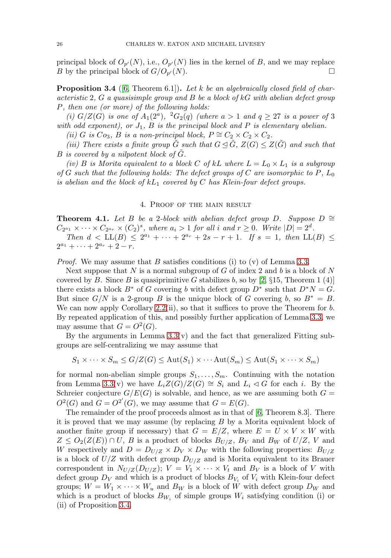principal block of  $O_{p'}(N)$ , i.e.,  $O_{p'}(N)$  lies in the kernel of B, and we may replace B by the principal block of  $G/O_{p'}(N)$ .  $\cup (N)$ .

<span id="page-5-2"></span>**Proposition 3.4** ([\[6,](#page-8-3) Theorem 6.1]). Let k be an algebraically closed field of characteristic 2,  $G$  a quasisimple group and  $B$  be a block of  $kG$  with abelian defect group P, then one (or more) of the following holds:

(i)  $G/Z(G)$  is one of  $A_1(2^a)$ ,  ${}^2G_2(q)$  (where  $a > 1$  and  $q \geq 27$  is a power of 3 with odd exponent), or  $J_1$ ,  $B$  is the principal block and  $P$  is elementary abelian.

(ii) G is  $Co_3$ , B is a non-principal block,  $P \cong C_2 \times C_2 \times C_2$ .

(iii) There exists a finite group  $\tilde{G}$  such that  $G \trianglelefteq \tilde{G}$ ,  $Z(G) \leq Z(\tilde{G})$  and such that  $B$  is covered by a nilpotent block of  $G$ .

(iv) B is Morita equivalent to a block C of kL where  $L = L_0 \times L_1$  is a subgroup of G such that the following holds: The defect groups of C are isomorphic to P,  $L_0$ is abelian and the block of  $kL_1$  covered by C has Klein-four defect groups.

### 4. Proof of the main result

<span id="page-5-1"></span><span id="page-5-0"></span>**Theorem 4.1.** Let B be a 2-block with abelian defect group D. Suppose  $D \cong$  $C_{2^{a_1}} \times \cdots \times C_{2^{a_r}} \times (C_2)^s$ , where  $a_i > 1$  for all i and  $r \geq 0$ . Write  $|D| = 2^d$ .

Then  $d < LL(B) \leq 2^{a_1} + \cdots + 2^{a_r} + 2s - r + 1$ . If  $s = 1$ , then  $LL(B) \leq$  $2^{a_1} + \cdots + 2^{a_r} + 2 - r.$ 

*Proof.* We may assume that B satisfies conditions (i) to (v) of Lemma [3.3.](#page-3-0)

Next suppose that  $N$  is a normal subgroup of  $G$  of index 2 and  $b$  is a block of  $N$ covered by B. Since B is quasiprimitive G stabilizes b, so by  $[2, \S 15,$  $[2, \S 15,$  Theorem 1 (4)] there exists a block  $B^*$  of G covering b with defect group  $D^*$  such that  $D^*N = G$ . But since  $G/N$  is a 2-group B is the unique block of G covering b, so  $B^* = B$ . We can now apply Corollary  $2.2(ii)$ , so that it suffices to prove the Theorem for b. By repeated application of this, and possibly further application of Lemma [3.3,](#page-3-0) we may assume that  $G = O^2(G)$ .

By the arguments in Lemma  $3.3(v)$  and the fact that generalized Fitting subgroups are self-centralizing we may assume that

$$
S_1 \times \cdots \times S_m \le G/Z(G) \le \text{Aut}(S_1) \times \cdots \text{Aut}(S_m) \le \text{Aut}(S_1 \times \cdots \times S_m)
$$

for normal non-abelian simple groups  $S_1, \ldots, S_m$ . Continuing with the notation from Lemma [3.3\(](#page-3-0)v) we have  $L_iZ(G)/Z(G) \cong S_i$  and  $L_i \lhd G$  for each i. By the Schreier conjecture  $G/E(G)$  is solvable, and hence, as we are assuming both  $G =$  $O<sup>2</sup>(G)$  and  $G = O<sup>2'</sup>(G)$ , we may assume that  $G = E(G)$ .

The remainder of the proof proceeds almost as in that of [\[6,](#page-8-3) Theorem 8.3]. There it is proved that we may assume (by replacing B by a Morita equivalent block of another finite group if necessary) that  $G = E/Z$ , where  $E = U \times V \times W$  with  $Z \leq O_2(Z(E)) \cap U$ , B is a product of blocks  $B_{U/Z}$ ,  $B_V$  and  $B_W$  of  $U/Z$ , V and W respectively and  $D = D_{U/Z} \times D_V \times D_W$  with the following properties:  $B_{U/Z}$ is a block of  $U/Z$  with defect group  $D_{U/Z}$  and is Morita equivalent to its Brauer correspondent in  $N_{U/Z}(D_{U/Z}); V = V_1 \times \cdots \times V_t$  and  $B_V$  is a block of V with defect group  $D_V$  and which is a product of blocks  $B_{V_i}$  of  $V_i$  with Klein-four defect groups;  $W = W_1 \times \cdots \times W_u$  and  $B_W$  is a block of W with defect group  $D_W$  and which is a product of blocks  $B_{W_i}$  of simple groups  $W_i$  satisfying condition (i) or (ii) of Proposition [3.4.](#page-5-2)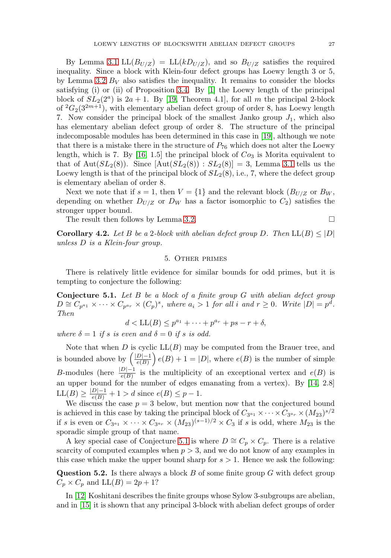By Lemma [3.1](#page-2-1)  $LL(B_{U/Z}) = LL(kD_{U/Z})$ , and so  $B_{U/Z}$  satisfies the required inequality. Since a block with Klein-four defect groups has Loewy length 3 or 5, by Lemma [3.2](#page-3-1)  $B_V$  also satisfies the inequality. It remains to consider the blocks satisfying (i) or (ii) of Proposition [3.4.](#page-5-2) By [\[1\]](#page-8-4) the Loewy length of the principal block of  $SL_2(2^a)$  is  $2a + 1$ . By [\[19,](#page-9-1) Theorem 4.1], for all m the principal 2-block of  ${}^{2}G_{2}(3^{2m+1})$ , with elementary abelian defect group of order 8, has Loewy length 7. Now consider the principal block of the smallest Janko group  $J_1$ , which also has elementary abelian defect group of order 8. The structure of the principal indecomposable modules has been determined in this case in [\[19\]](#page-9-1), although we note that there is a mistake there in the structure of  $P_{76}$  which does not alter the Loewy length, which is 7. By [\[16,](#page-9-7) 1.5] the principal block of  $Co<sub>3</sub>$  is Morita equivalent to that of Aut $(SL_2(8))$ . Since  $[\text{Aut}(SL_2(8)) : SL_2(8)] = 3$ , Lemma [3.1](#page-2-1) tells us the Loewy length is that of the principal block of  $SL_2(8)$ , i.e., 7, where the defect group is elementary abelian of order 8.

Next we note that if  $s = 1$ , then  $V = \{1\}$  and the relevant block  $(B_{U/Z}$  or  $B_W$ , depending on whether  $D_{U/Z}$  or  $D_W$  has a factor isomorphic to  $C_2$ ) satisfies the stronger upper bound.

The result then follows by Lemma [3.2.](#page-3-1)  $\Box$ 

<span id="page-6-0"></span>**Corollary 4.2.** Let B be a 2-block with abelian defect group D. Then  $LL(B) \leq |D|$ unless D is a Klein-four group.

# 5. Other primes

There is relatively little evidence for similar bounds for odd primes, but it is tempting to conjecture the following:

<span id="page-6-1"></span>**Conjecture 5.1.** Let B be a block of a finite group G with abelian defect group  $D \cong C_{p^{a_1}} \times \cdots \times C_{p^{a_r}} \times (C_p)^s$ , where  $a_i > 1$  for all i and  $r \geq 0$ . Write  $|D| = p^d$ . Then

$$
d < \mathop{\rm LL}(B) \le p^{a_1} + \dots + p^{a_r} + ps - r + \delta,
$$

where  $\delta = 1$  if s is even and  $\delta = 0$  if s is odd.

Note that when  $D$  is cyclic  $LL(B)$  may be computed from the Brauer tree, and is bounded above by  $\left(\frac{|D|-1}{e(B)}\right)e(B)+1=|D|$ , where  $e(B)$  is the number of simple B-modules (here  $\frac{|D|-1}{e(B)}$  is the multiplicity of an exceptional vertex and  $e(B)$  is an upper bound for the number of edges emanating from a vertex). By [\[14,](#page-9-0) 2.8]  $LL(B) \ge \frac{|D|-1}{e(B)} + 1 > d$  since  $e(B) \le p - 1$ .

We discuss the case  $p = 3$  below, but mention now that the conjectured bound is achieved in this case by taking the principal block of  $C_{3^{a_1}} \times \cdots \times C_{3^{a_r}} \times (M_{23})^{s/2}$ if s is even or  $C_{3^{a_1}} \times \cdots \times C_{3^{a_r}} \times (M_{23})^{(s-1)/2} \times C_3$  if s is odd, where  $M_{23}$  is the sporadic simple group of that name.

A key special case of Conjecture [5.1](#page-6-1) is where  $D \cong C_p \times C_p$ . There is a relative scarcity of computed examples when  $p > 3$ , and we do not know of any examples in this case which make the upper bound sharp for  $s > 1$ . Hence we ask the following:

**Question 5.2.** Is there always a block B of some finite group G with defect group  $C_p \times C_p$  and  $LL(B) = 2p + 1?$ 

In [\[12\]](#page-8-10) Koshitani describes the finite groups whose Sylow 3-subgroups are abelian, and in [\[15\]](#page-9-4) it is shown that any principal 3-block with abelian defect groups of order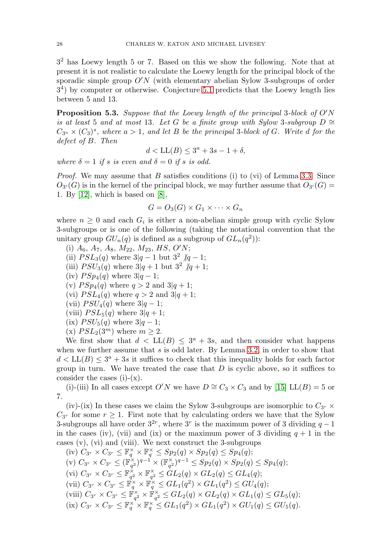3<sup>2</sup> has Loewy length 5 or 7. Based on this we show the following. Note that at present it is not realistic to calculate the Loewy length for the principal block of the sporadic simple group  $O'N$  (with elementary abelian Sylow 3-subgroups of order 34) by computer or otherwise. Conjecture [5.1](#page-6-1) predicts that the Loewy length lies between 5 and 13.

**Proposition 5.3.** Suppose that the Loewy length of the principal 3-block of  $O'N$ is at least 5 and at most 13. Let G be a finite group with Sylow 3-subgroup  $D \cong$  $C_{3^a} \times (C_3)^s$ , where  $a > 1$ , and let B be the principal 3-block of G. Write d for the defect of B. Then

$$
d < \mathcal{LL}(B) \le 3^a + 3s - 1 + \delta,
$$

where  $\delta = 1$  if s is even and  $\delta = 0$  if s is odd.

*Proof.* We may assume that B satisfies conditions (i) to (vi) of Lemma [3.3.](#page-3-0) Since  $O_{3'}(G)$  is in the kernel of the principal block, we may further assume that  $O_{3'}(G)$  = 1. By [\[12\]](#page-8-10), which is based on [\[8\]](#page-8-11),

$$
G = O_3(G) \times G_1 \times \cdots \times G_n
$$

where  $n \geq 0$  and each  $G_i$  is either a non-abelian simple group with cyclic Sylow 3-subgroups or is one of the following (taking the notational convention that the unitary group  $GU_n(q)$  is defined as a subgroup of  $GL_n(q^2)$ :

- (i)  $A_6$ ,  $A_7$ ,  $A_8$ ,  $M_{22}$ ,  $M_{23}$ ,  $HS$ ,  $O'N$ ;
- (ii)  $PSL_3(q)$  where  $3|q-1$  but  $3^2$   $/q-1$ ;
- (iii)  $PSU_3(q)$  where  $3|q+1$  but  $3^2$  /q + 1;
- (iv)  $PSp_4(q)$  where  $3|q-1;$
- (v)  $PSp_4(q)$  where  $q > 2$  and  $3|q+1$ ;
- (vi)  $PSL_4(q)$  where  $q > 2$  and  $3|q+1$ ;
- (vii)  $PSU_4(q)$  where  $3|q-1;$
- (viii)  $PSL_5(q)$  where  $3|q+1;$
- (ix)  $PSU_5(q)$  where  $3|q-1;$
- (x)  $PSL_2(3^m)$  where  $m \geq 2$ .

We first show that  $d < LL(B) \leq 3^a + 3s$ , and then consider what happens when we further assume that  $s$  is odd later. By Lemma [3.2,](#page-3-1) in order to show that  $d < LL(B) \leq 3^a + 3s$  it suffices to check that this inequality holds for each factor group in turn. We have treated the case that  $D$  is cyclic above, so it suffices to consider the cases  $(i)-(x)$ .

(i)-(iii) In all cases except  $O'N$  we have  $D \cong C_3 \times C_3$  and by [\[15\]](#page-9-4) LL(B) = 5 or 7.

(iv)-(ix) In these cases we claim the Sylow 3-subgroups are isomorphic to  $C_{3r} \times$  $C_{3r}$  for some  $r \geq 1$ . First note that by calculating orders we have that the Sylow 3-subgroups all have order  $3^{2r}$ , where  $3^r$  is the maximum power of 3 dividing  $q-1$ in the cases (iv), (vii) and (ix) or the maximum power of 3 dividing  $q + 1$  in the cases (v), (vi) and (viii). We next construct the 3-subgroups

 $(iv)$   $C_{3r} \times C_{3r} \leq \mathbb{F}_q^{\times} \times \mathbb{F}_q^{\times} \leq Sp_2(q) \times Sp_2(q) \leq Sp_4(q);$  $(v)$   $C_{3r} \times C_{3r} \leq (\mathbb{F}_{q^2}^{\times})^{q-1} \times (\mathbb{F}_{q^2}^{\times})^{q-1} \leq Sp_2(q) \times Sp_2(q) \leq Sp_4(q);$ (vi)  $C_{3r} \times C_{3r} \leq \mathbb{F}_{q^2}^{\times} \times \mathbb{F}_{q^2}^{\times} \leq GL_2(q) \times GL_2(q) \leq GL_4(q);$ (vii)  $C_{3r} \times C_{3r} \leq \mathbb{F}_q^{\times} \times \mathbb{F}_q^{\times} \leq GL_1(q^2) \times GL_1(q^2) \leq GU_4(q);$ (viii)  $C_{3r} \times C_{3r} \leq \mathbb{F}_{q^2}^{\times} \times \mathbb{F}_{q^2}^{\times} \leq GL_2(q) \times GL_2(q) \times GL_1(q) \leq GL_5(q);$  $\left(\mathrm{ix}\right) C_{3^r} \times C_{3^r} \leq \mathbb{F}_q^{\times} \times \mathbb{F}_q^{\times} \leq GL_1(q^2) \times GL_1(q^2) \times GU_1(q) \leq GU_5(q).$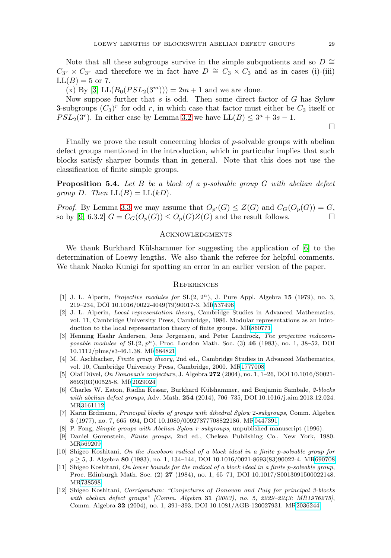Note that all these subgroups survive in the simple subquotients and so  $D \cong$  $C_{3r} \times C_{3r}$  and therefore we in fact have  $D \cong C_3 \times C_3$  and as in cases (i)-(iii)  $LL(B) = 5$  or 7.

(x) By [\[3\]](#page-8-7)  $LL(B_0(PSL_2(3^m))) = 2m + 1$  and we are done.

Now suppose further that  $s$  is odd. Then some direct factor of  $G$  has Sylow 3-subgroups  $(C_3)^r$  for odd r, in which case that factor must either be  $C_3$  itself or  $PSL_2(3^r)$ . In either case by Lemma [3.2](#page-3-1) we have  $LL(B) \leq 3^a + 3s - 1$ .

Finally we prove the result concerning blocks of p-solvable groups with abelian defect groups mentioned in the introduction, which in particular implies that such blocks satisfy sharper bounds than in general. Note that this does not use the classification of finite simple groups.

**Proposition 5.4.** Let B be a block of a p-solvable group G with abelian defect group D. Then  $LL(B) = LL(kD)$ .

*Proof.* By Lemma [3.3](#page-3-0) we may assume that  $O_{p'}(G) \leq Z(G)$  and  $C_G(O_p(G)) = G$ , so by [\[9,](#page-8-5) 6.3.2]  $G = C_G(O_p(G)) \leq O_p(G)Z(G)$  and the result follows.

## **ACKNOWLEDGMENTS**

We thank Burkhard Külshammer for suggesting the application of [\[6\]](#page-8-3) to the determination of Loewy lengths. We also thank the referee for helpful comments. We thank Naoko Kunigi for spotting an error in an earlier version of the paper.

#### **REFERENCES**

- <span id="page-8-4"></span>[1] J. L. Alperin, *Projective modules for*  $SL(2, 2^n)$ , J. Pure Appl. Algebra 15 (1979), no. 3, 219–234, DOI 10.1016/0022-4049(79)90017-3. M[R537496](http://www.ams.org/mathscinet-getitem?mr=537496)
- <span id="page-8-9"></span>[2] J. L. Alperin, Local representation theory, Cambridge Studies in Advanced Mathematics, vol. 11, Cambridge University Press, Cambridge, 1986. Modular representations as an introduction to the local representation theory of finite groups. M[R860771](http://www.ams.org/mathscinet-getitem?mr=860771)
- <span id="page-8-7"></span>[3] Henning Haahr Andersen, Jens Jørgensen, and Peter Landrock, The projective indecomposable modules of  $SL(2, p^n)$ , Proc. London Math. Soc. (3) **46** (1983), no. 1, 38–52, DOI 10.1112/plms/s3-46.1.38. M[R684821](http://www.ams.org/mathscinet-getitem?mr=684821)
- <span id="page-8-8"></span>[4] M. Aschbacher, Finite group theory, 2nd ed., Cambridge Studies in Advanced Mathematics, vol. 10, Cambridge University Press, Cambridge, 2000. M[R1777008](http://www.ams.org/mathscinet-getitem?mr=1777008)
- <span id="page-8-6"></span>[5] Olaf D¨uvel, On Donovan's conjecture, J. Algebra **272** (2004), no. 1, 1–26, DOI 10.1016/S0021- 8693(03)00525-8. M[R2029024](http://www.ams.org/mathscinet-getitem?mr=2029024)
- <span id="page-8-3"></span>[6] Charles W. Eaton, Radha Kessar, Burkhard Külshammer, and Benjamin Sambale, 2-blocks with abelian defect groups, Adv. Math. **254** (2014), 706–735, DOI 10.1016/j.aim.2013.12.024. M[R3161112](http://www.ams.org/mathscinet-getitem?mr=3161112)
- <span id="page-8-2"></span>[7] Karin Erdmann, Principal blocks of groups with dihedral Sylow 2-subgroups, Comm. Algebra **5** (1977), no. 7, 665–694, DOI 10.1080/00927877708822186. M[R0447391](http://www.ams.org/mathscinet-getitem?mr=0447391)
- <span id="page-8-11"></span>[8] P. Fong, Simple groups with Abelian Sylow r-subgroups, unpublished manuscript (1996).
- <span id="page-8-5"></span>[9] Daniel Gorenstein, Finite groups, 2nd ed., Chelsea Publishing Co., New York, 1980. M[R569209](http://www.ams.org/mathscinet-getitem?mr=569209)
- <span id="page-8-0"></span>[10] Shigeo Koshitani, On the Jacobson radical of a block ideal in a finite p-solvable group for p ≥ 5, J. Algebra **80** (1983), no. 1, 134–144, DOI 10.1016/0021-8693(83)90022-4. M[R690708](http://www.ams.org/mathscinet-getitem?mr=690708)
- <span id="page-8-1"></span>[11] Shigeo Koshitani, On lower bounds for the radical of a block ideal in a finite p-solvable group, Proc. Edinburgh Math. Soc. (2) **27** (1984), no. 1, 65–71, DOI 10.1017/S0013091500022148. M[R738598](http://www.ams.org/mathscinet-getitem?mr=738598)
- <span id="page-8-10"></span>[12] Shigeo Koshitani, Corrigendum: "Conjectures of Donovan and Puig for principal 3-blocks with abelian defect groups" [Comm. Algebra **31** (2003), no. 5, 2229–2243; MR1976275], Comm. Algebra **32** (2004), no. 1, 391–393, DOI 10.1081/AGB-120027931. M[R2036244](http://www.ams.org/mathscinet-getitem?mr=2036244)

 $\Box$